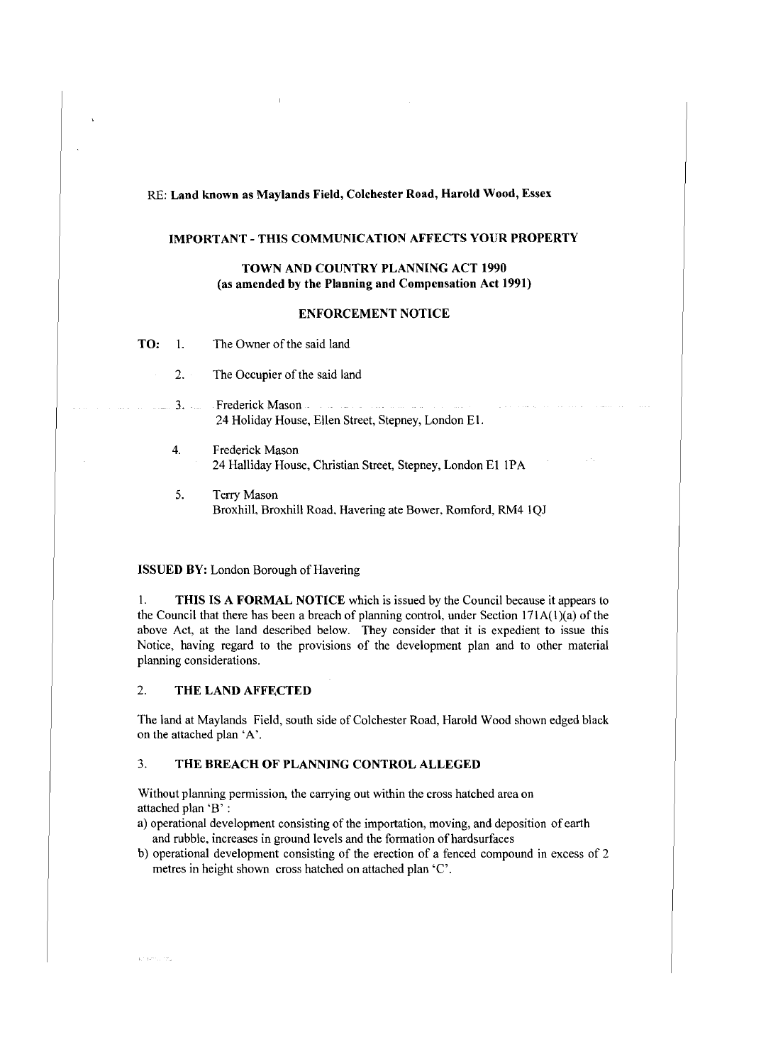### RE: Land known as Maylands Field, Colchester Road, Harold Wood, Essex

#### IMPORTANT-THIS COMMUNICATION AFFECTS YOUR PROPERTY

### TOWN AND COUNTRY PLANNING ACT 1990 (as amended by the Planning and Compensation Act 1991)

#### ENFORCEMENT NOTICE

**TO:** 1. The Owner of the said land

- 2. The Occupier of the said land
- 3. Frederick Mason المناطق المتداوي الصمارة المناط المتناول الفر 24 Holiday House, Ellen Street, Stepney, London El.
- 4. Frederick Mason 24 Halliday House, Christian Street, Stepney, London El IPA
- 5. Terry Mason Broxhill, Broxhill Road, Havering ate Bower. Romford, RM4 IQJ

#### ISSUED BY: London Borough of Havering

I. THIS IS A FORMAL NOTICE which is issued by the Council because it appears to the Council that there has been a breach of planning control, under Section  $171A(1)(a)$  of the above Act, at the land described below. They consider that it is expedient to issue this Notice, having regard to the provisions of the development plan and to other material planning considerations.

#### 2. THE LAND AFFECTED

The land at Maylands Field, south side of Colchester Road, Harold Wood shown edged black on the attached plan 'A'.

#### 3. THE BREACH OF PLANNING CONTROL ALLEGED

Without planning permission, the carrying out within the cross hatched area on attached plan 'B' :

- a) operational development consisting of the importation, moving, and deposition of earth and rubble, increases in ground levels and the formation of hardsurfaces
- b) operational development consisting of the erection of a fenced compound in excess of 2 metres in height shown cross hatched on attached plan 'C'.

a nazivu ne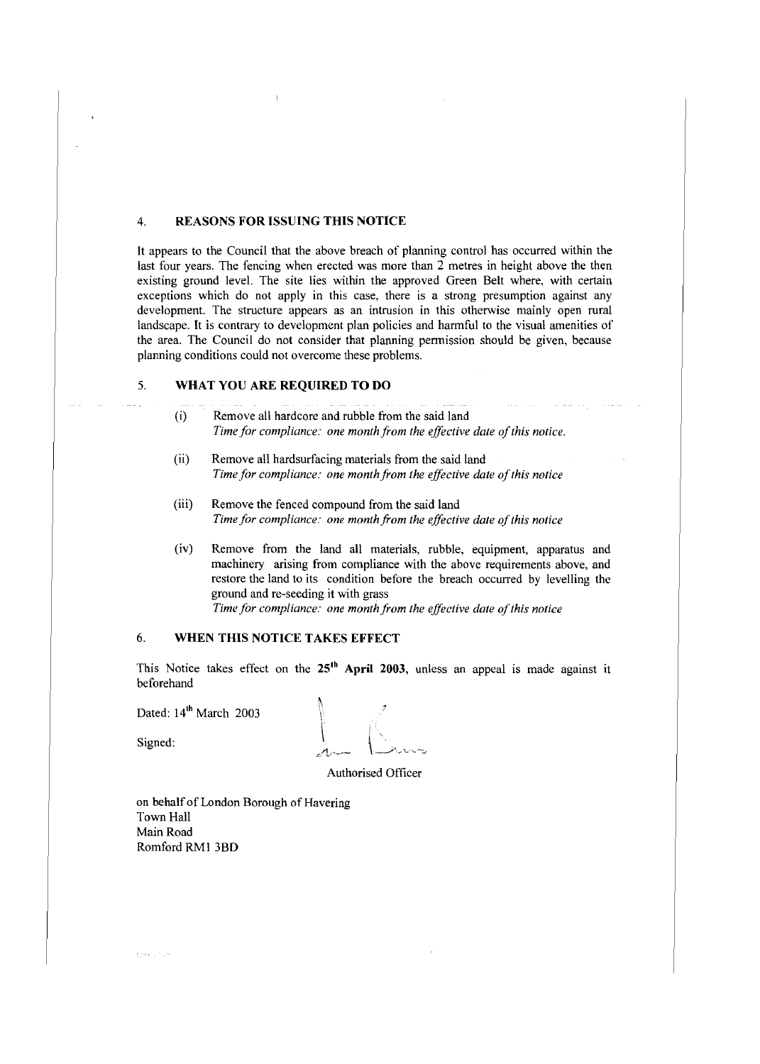#### 4. **REASONS FOR ISSUING THIS NOTICE**

It appears to the Council that the above breach of planning control has occurred within the last four years. The fencing when erected was more than 2 metres in height above the then existing ground level. The site lies within the approved Green Belt where, with certain exceptions which do not apply in this case, there is a strong presumption against any development. The structure appears as an intrusion in this otherwise mainly open rural landscape. It is contrary to development plan policies and harmful to the visual amenities of the area. The Council do not consider that planning permission should be given, because planning conditions could not overcome these problems.

#### 5. **WHAT YOU ARE REQUIRED TO DO**

- (i) Remove all hardcore and rubble from the said land *Time for compliance: one month from the effective date of this notice.*
- (ii) Remove all hardsurfacing materials from the said land *Time for compliance: one month from the effective date of this notice*
- (iii) Remove the fenced compound from the said land *Time for compliance: one month from the effective date of this notice*
- (iv) Remove from the land all materials, rubble, equipment, apparatus and machinery arising from compliance with the above requirements above, and restore the land to its condition before the breach occurred by levelling the ground and re-seeding it with grass

*Time for compliance: one month from the effective date of this notice* 

#### 6. **WHEN THIS NOTICE TAKES EFFECT**

This Notice takes effect on the 25<sup>th</sup> April 2003, unless an appeal is made against it beforehand

Dated: 14<sup>th</sup> March 2003

 $\begin{bmatrix} \text{Simel} & \text{Pimel} & \text{Pimel} \\ \text{Signed:} & \text{Pimel} & \text{Pimel} \end{bmatrix}$ 

Authorised Officer

on behalf of London Borough of Havering Town Hall Main Road Romford RMI 3BD

para contra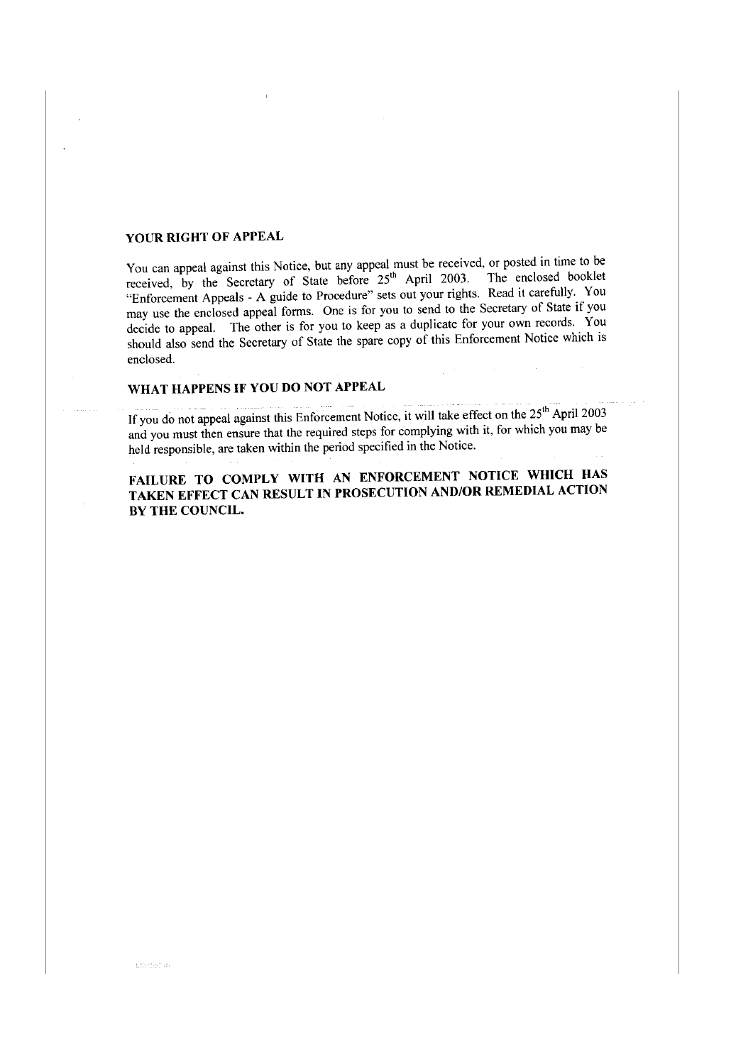## **YOUR RIGHT OF APPEAL**

You can appeal against this Notice, but any appeal must be received, or posted in time to be received, by the Secretary of State before  $25<sup>th</sup>$  April 2003. The enclosed booklet "Enforcement Appeals - A guide to Procedure" sets out your rights. Read it carefully. You may use the enclosed appeal forms. One is for you to send to the Secretary of State if you decide to appeal. The other is for you to keep as a duplicate for your own records. You should also send the Secretary of State the spare copy of this Enforcement Notice which is enclosed.

# **WHAT HAPPENS IF YOU DO NOT APPEAL**

If you do not appeal against this Enforcement Notice, it will take effect on the  $25<sup>th</sup>$  April 2003 and you must then ensure that the required steps for complying with it, for which you may be held responsible, are taken within the period specified in the Notice.

**FAILURE TO COMPLY WITH AN ENFORCEMENT NOTICE WHICH HAS TAKEN EFFECT CAN RESULT IN PROSECUTION AND/OR REMEDIAL ACTION BY THE COUNCIL.**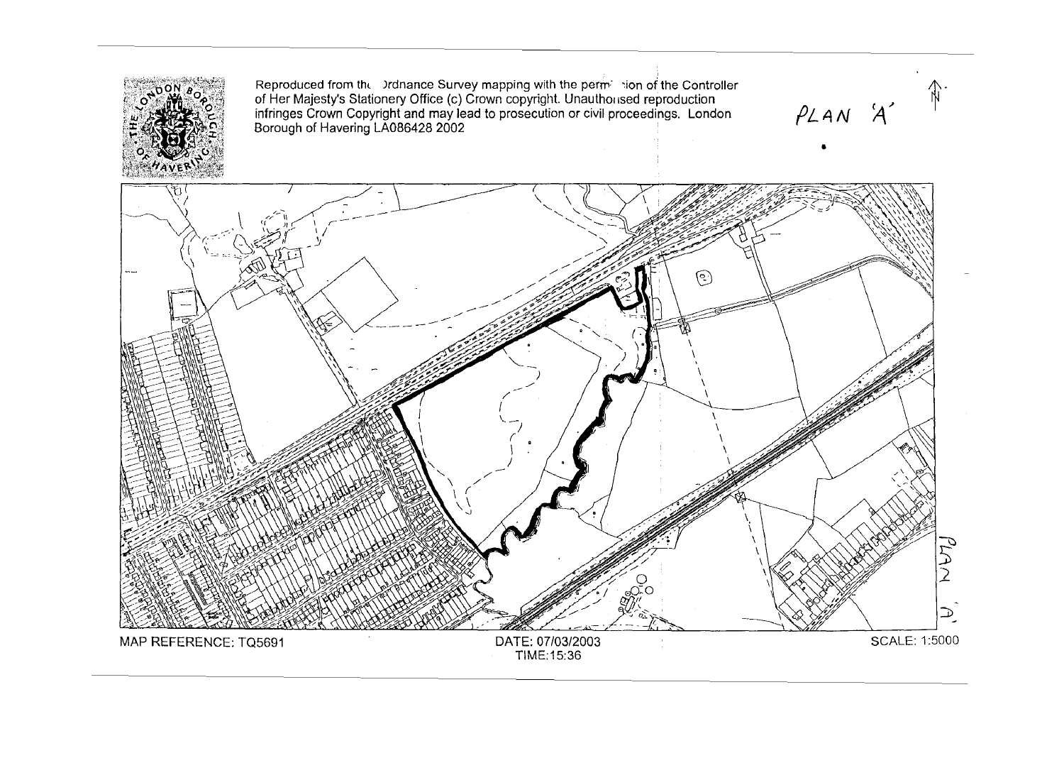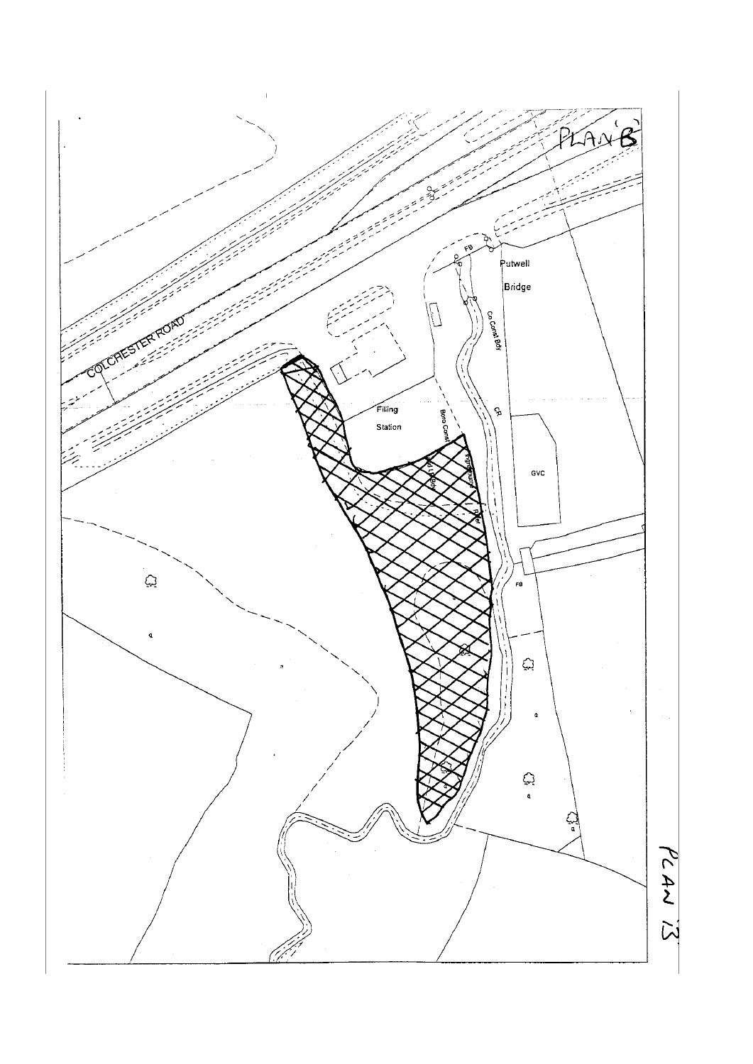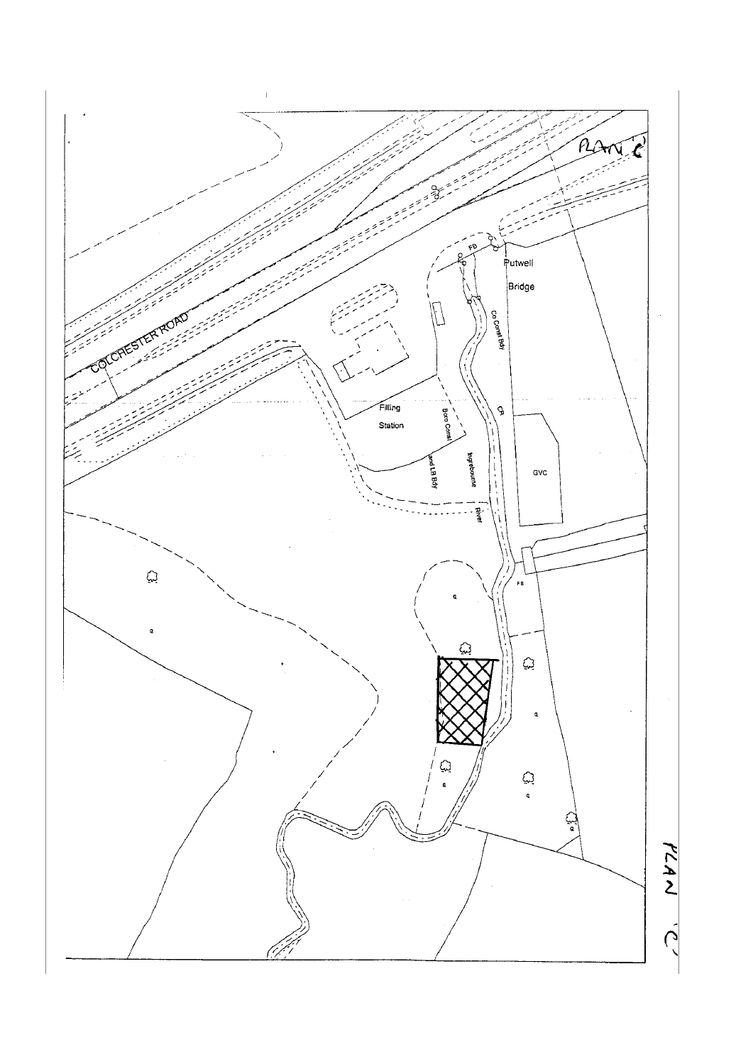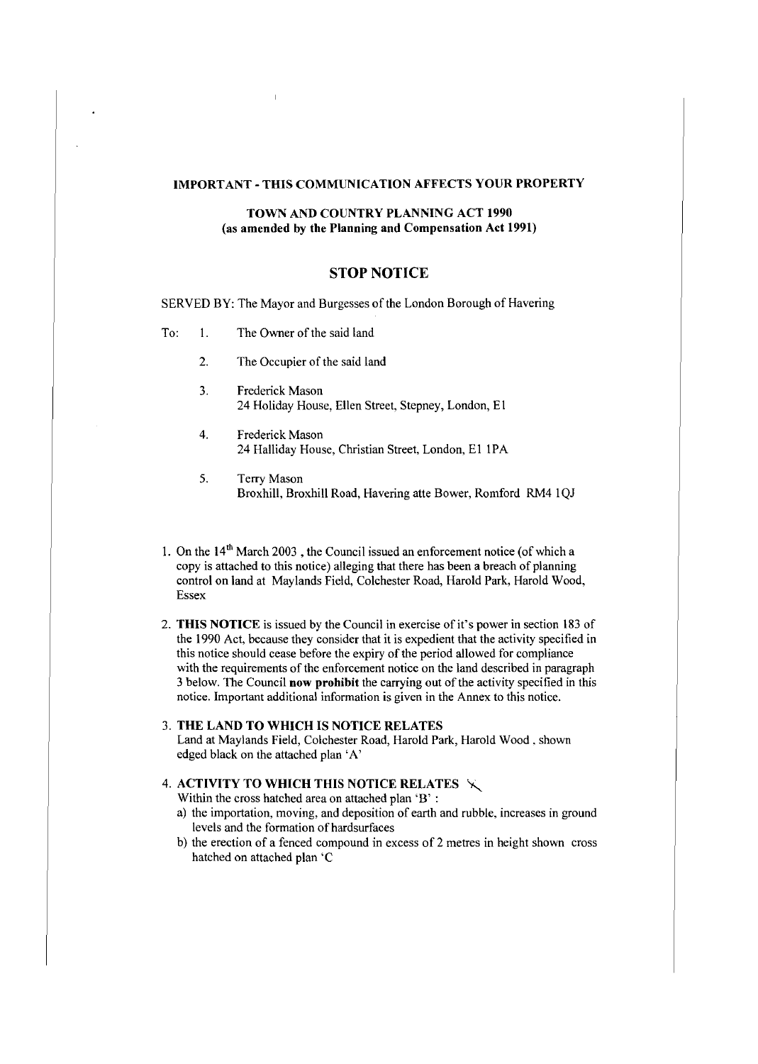#### **IMPORTANT-THIS COMMUNICATION AFFECTS YOUR PROPERTY**

#### **TOWN AND COUNTRY PLANNING ACT 1990** (as **amended by the Planning and Compensation Act 1991)**

### **STOP NOTICE**

SERVED BY: The Mayor and Burgesses of the London Borough of Havering

- To: 1. The Owner of the said land
	- 2. The Occupier of the said land
	- 3. Frederick Mason 24 Holiday House, Ellen Street, Stepney, London, E 1
	- 4. Frederick Mason 24 Halliday House, Christian Street, London, EI 1PA
	- 5. Terry Mason Broxhill, Broxhill Road, Havering atte Bower, Romford RM4 1OJ
- 1. On the  $14<sup>th</sup>$  March 2003, the Council issued an enforcement notice (of which a copy is attached to this notice) alleging that there has been a breach of planning control on land at Maylands Field, Colchester Road, Harold Park, Harold Wood, Essex
- 2. **THIS NOTICE** is issued by the Council in exercise of it's power in section 183 of the 1990 Act, because they consider that it is expedient that the activity specified in this notice should cease before the expiry of the period allowed for compliance with the requirements of the enforcement notice on the land described in paragraph 3 below. The Council **now prohibit** the carrying out ofthe activity specified in this notice. Important additional information is given in the Annex to this notice.
- 3. **THE LAND TO WHICH IS NOTICE RELATES**  Land at Maylands Field, Colchester Road, Harold Park, Harold Wood. shown edged black on the attached plan 'A'

### 4. **ACTIVITY TO WHICH THIS NOTICE RELATES** ~

Within the cross hatched area on attached plan 'B' :

- a) the importation, moving, and deposition of earth and rubble, increases in ground levels and the formation of hardsurfaces
- b) the erection of a fenced compound in excess of 2 metres in height shown cross hatched on attached plan 'C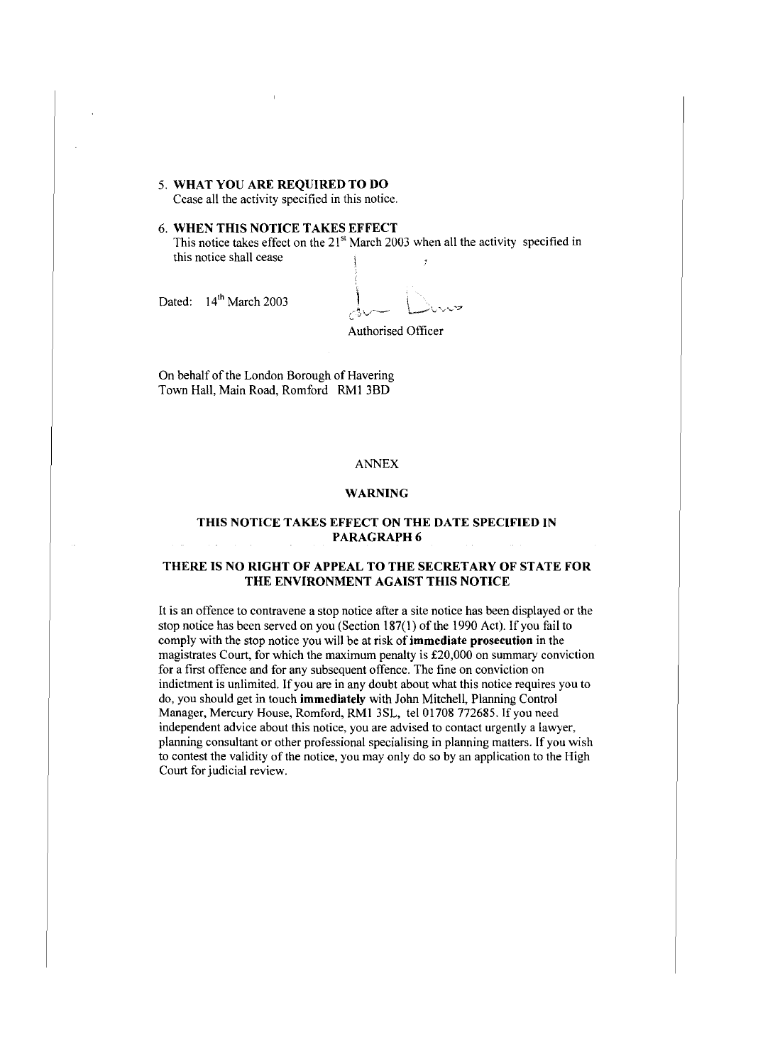#### 5. **WHAT YOU ARE REQUIRED TO DO**

Cease all the activity specified in this notice.

#### 6. **WHEN THIS NOTICE TAKES EFFECT**

This notice takes effect on the 21<sup>st</sup> March 2003 when all the activity specified in this notice shall cease

Dated: 14<sup>th</sup> March 2003

Authorised Officer

On behalf of the London Borough of Havering Town Hall, Main Road, Romford RMI 3BD

### ANNEX

#### **WARNING**

### **THIS NOTICE TAKES EFFECT ON THE DATE SPECIFIED IN PARAGRAPH6**

### **THERE IS NO RIGHT OF APPEAL TO THE SECRETARY OF STATE FOR THE ENVIRONMENT AGAIST THIS NOTICE**

It is an offence to contravene a stop notice after a site notice has been displayed or the stop notice has been served on you (Section 187(1) of the 1990 Act). If you fail to comply with the stop notice you will be at risk of **immediate prosecution** in the magistrates Court, for which the maximum penalty is £20,000 on summary conviction for a first offence and for any subsequent offence. The fine on conviction on indictment is unlimited. If you are in any doubt about what this notice requires you to do, you should get in touch **immediately** with John Mitchell, Planning Control Manager, Mercury House, Romford, RMI 3SL, tel 01708 772685. If you need independent advice about this notice, you are advised to contact urgently a lawyer, planning consultant or other professional specialising in planning matters. If you wish to contest the validity of the notice, you may only do so by an application to the High Court for judicial review.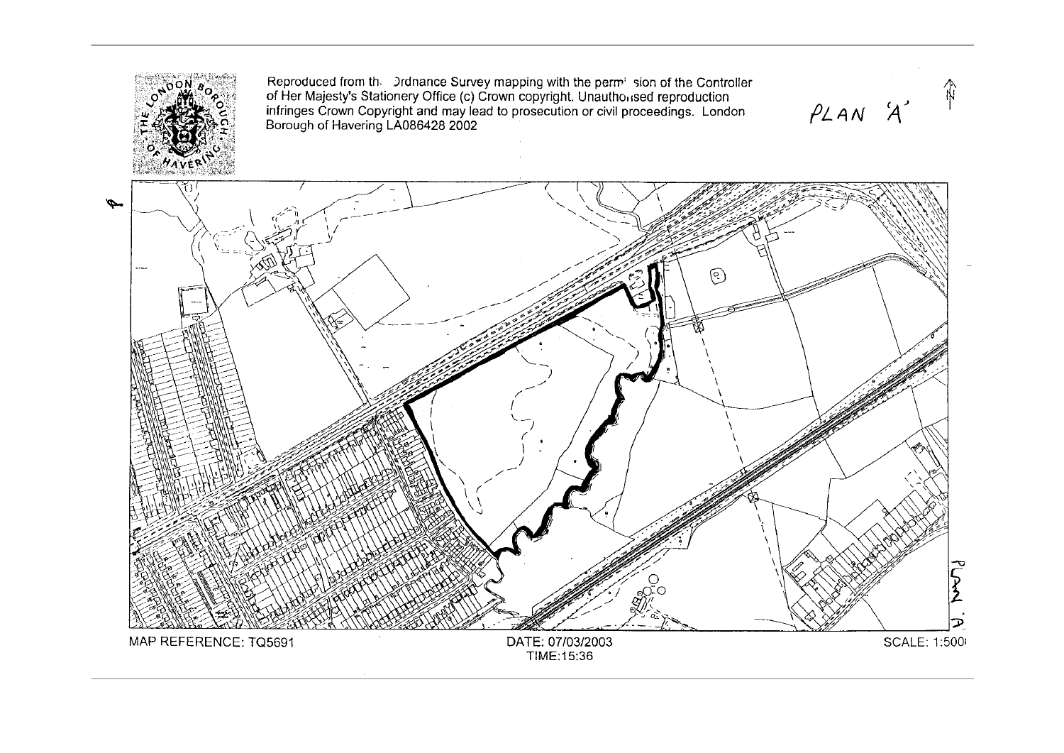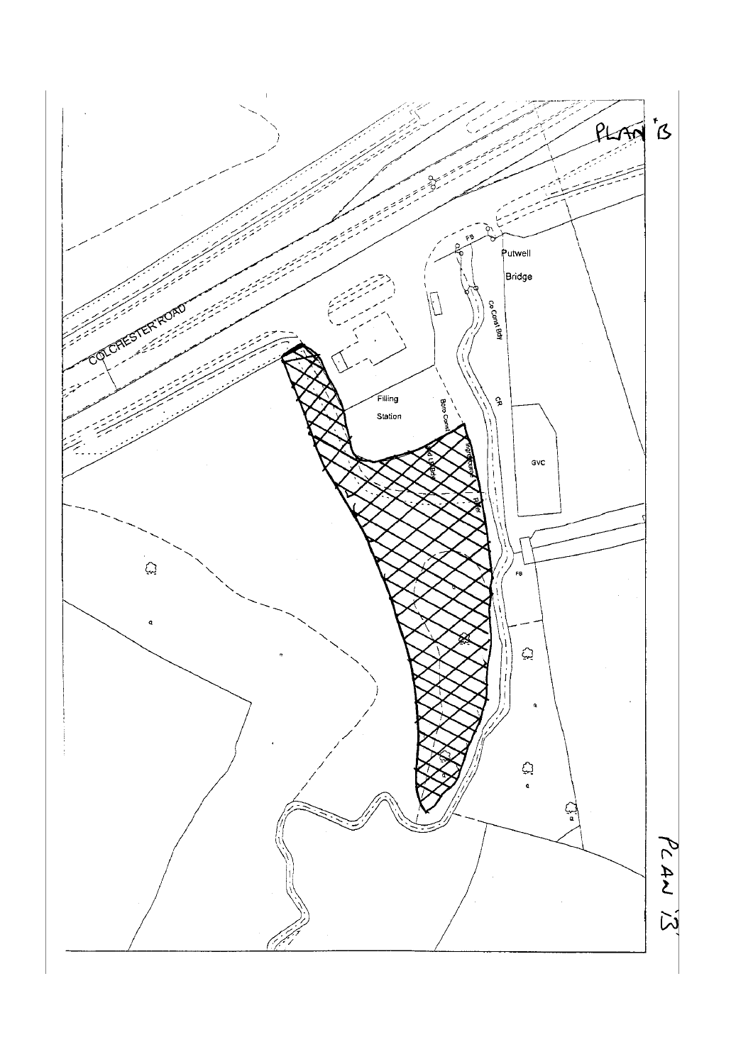![](_page_9_Figure_0.jpeg)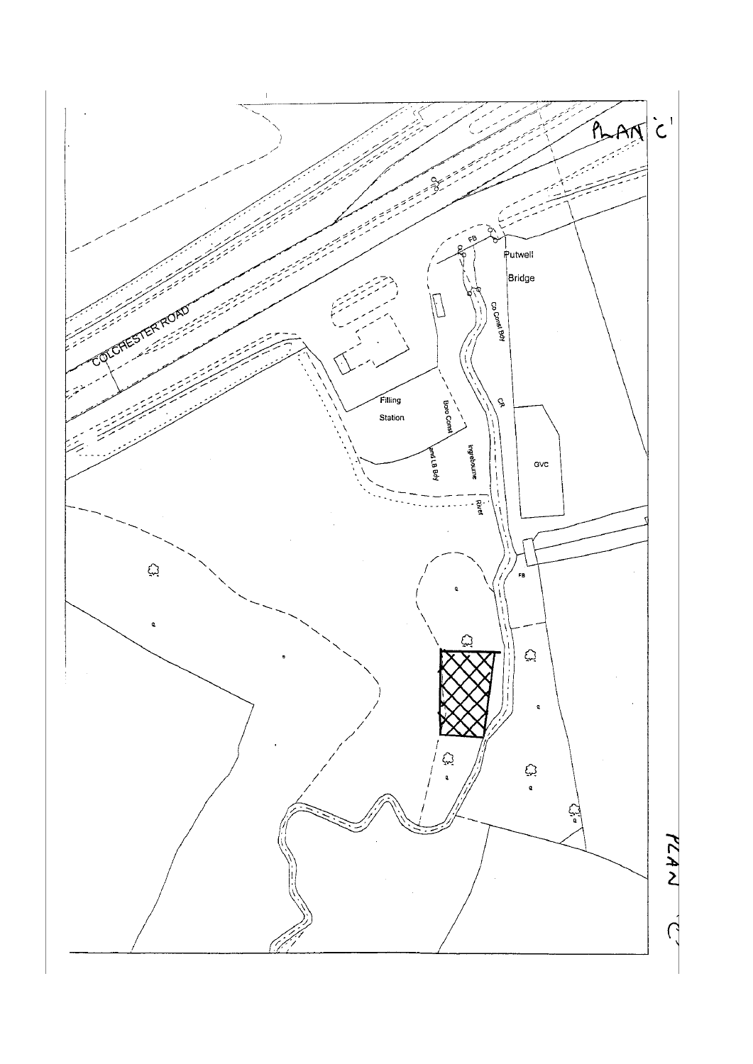![](_page_10_Figure_0.jpeg)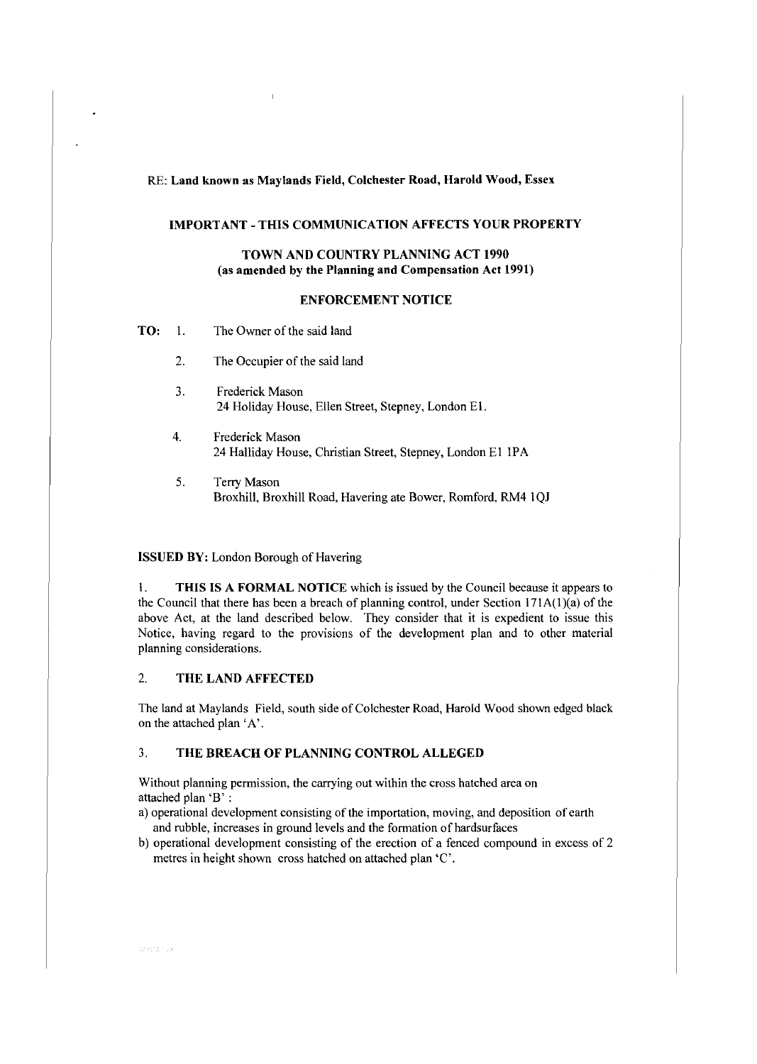#### RE: **Land known as Maylands Field, Colchester Road, Harold Wood,** Essex

#### **IMPORT ANT - THIS COMMUNICATION AFFECTS YOUR PROPERTY**

#### **TOWN AND COUNTRY PLANNING ACT 1990** (as **amended by the Planning and Compensation Act 1991)**

#### **ENFORCEMENT NOTICE**

- **TO:** 1. The Owner of the said land
	- 2. The Occupier of the said land
	- 3. Frederick Mason 24 Holiday House, Ellen Street, Stepney, London EI.
	- 4. Frederick Mason 24 Halliday House, Christian Street, Stepney, London El IPA
	- 5. Terry Mason Broxhill, Broxhill Road, Havering ate Bower, Romford, RM4 I QJ

#### **ISSUED BY:** London Borough of Havering

I. **THIS IS A FORMAL NOTICE** which is issued by the Council because it appears to the Council that there has been a breach of planning control, under Section  $171A(1)(a)$  of the above Act, at the land described below. They consider that it is expedient to issue this Notice, having regard to the provisions of the development plan and to other material planning considerations.

### 2. **THE LAND AFFECTED**

The land at Maylands Field, south side of Colchester Road, Harold Wood shown edged black on the attached plan 'A'.

#### 3. **THE BREACH OF PLANNING CONTROL ALLEGED**

Without planning permission, the carrying out within the cross hatched area on attached plan 'B' :

- a) operational development consisting of the importation, moving, and deposition of earth and rubble, increases in ground levels and the formation of hardsurfaces
- b) operational development consisting of the erection of a fenced compound in excess of 2 metres in height shown cross hatched on attached plan 'C'.

9835779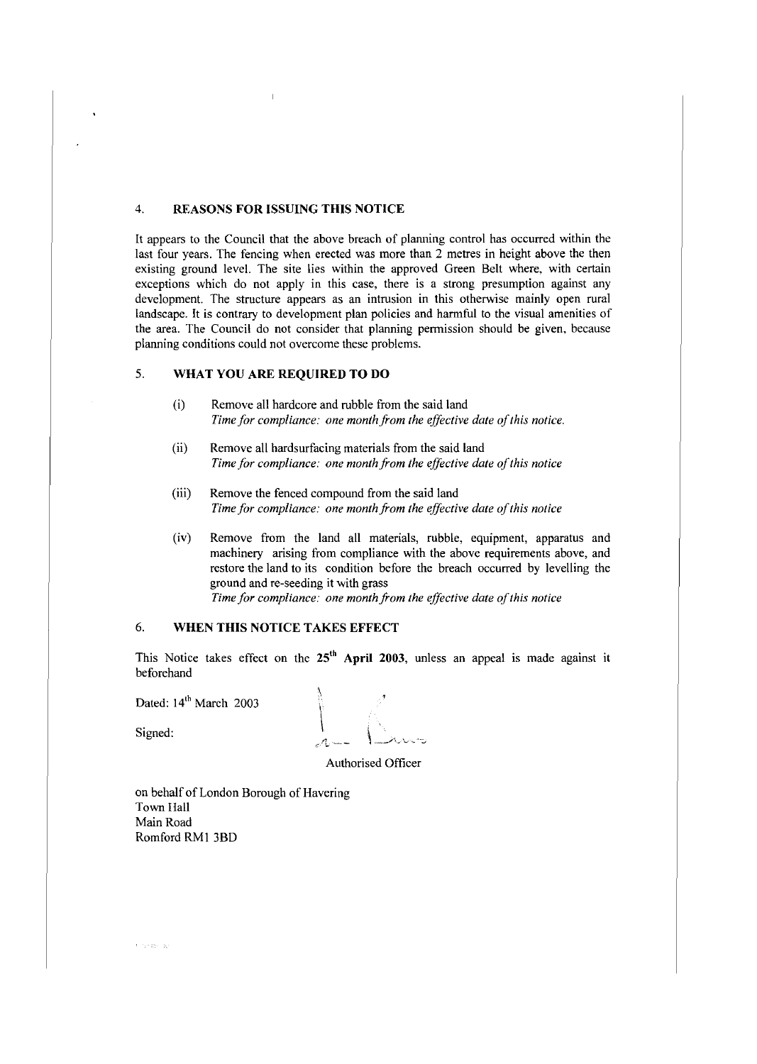#### 4. **REASONS FOR ISSUING THIS NOTICE**

It appears to the Council that the above breach of planning control has occurred within the last four years. The fencing when erected was more than 2 metres in height above the then existing ground level. The site lies within the approved Green Belt where, with certain exceptions which do not apply in this case, there is a strong presumption against any development. The structure appears as an intrusion in this otherwise mainly open rural landscape. It is contrary to development plan policies and harmful to the visual amenities of the area. The Council do not consider that planning permission should be given, because planning conditions could not overcome these problems.

### 5. **WHAT YOU ARE REQUIRED TO DO**

- (i) Remove all hardcore and rubble from the said land *Time for compliance: one month from the effective date of this notice.*
- (ii) Remove all hardsurfacing materials from the said land Time for compliance: one month from the effective date of this notice
- (iii) Remove the fenced compound from the said land Time for compliance: one month from the effective date of this notice
- (iv) Remove from the land all materials, rubble, equipment, apparatus and machinery arising from compliance with the above requirements above, and restore the land to its condition before the breach occurred by levelling the ground and re-seeding it with grass *Time for compliance: one month from the effective date of this notice*

### 6. **WHEN THIS NOTICE TAKES EFFECT**

This Notice takes effect on the 25<sup>th</sup> April 2003, unless an appeal is made against it beforehand

Dated: 14<sup>th</sup> March 2003

 $\overline{\text{Signed:}}$ 

Authorised Officer

on behalf of London Borough of Havering Town Hall Main Road Romford RMI 3BD

 $\left\{ \left\{ \left( \mathbf{r}_{k} \right) \right\} \right\} \in \mathbb{R}$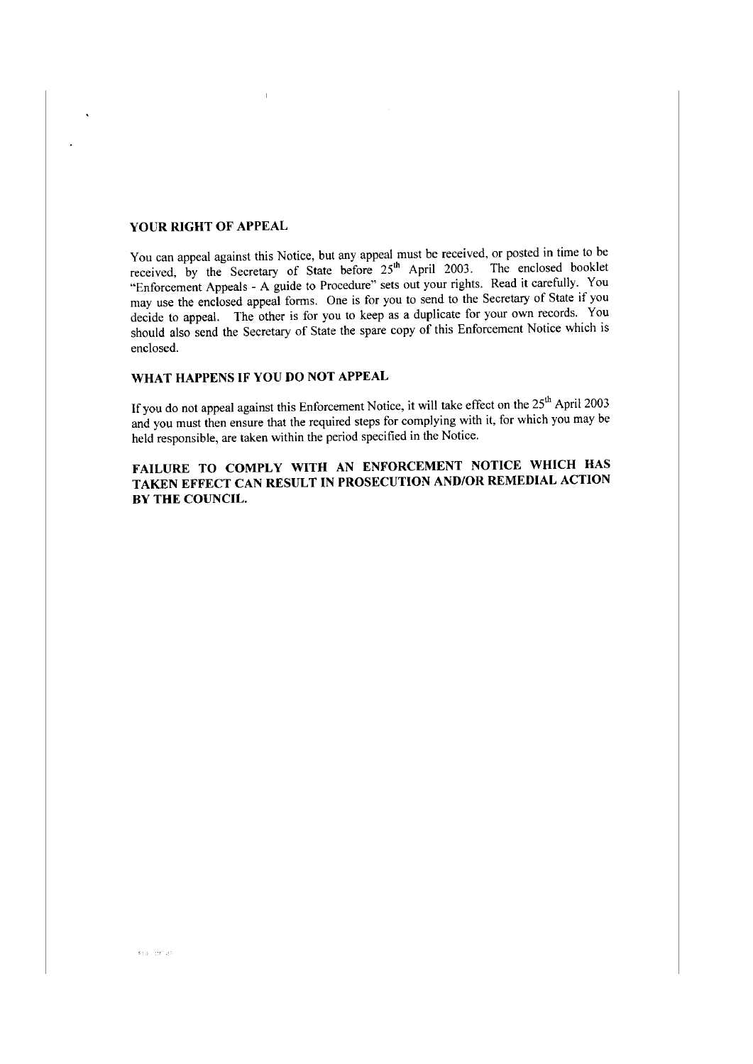#### **YOUR RIGHT OF APPEAL**

You can appeal against this Notice, but any appeal must be received, or posted in time to be received, by the Secretary of State before  $25<sup>th</sup>$  April 2003. The enclosed booklet "Enforcement Appeals - A guide to Procedure" sets out your rights. Read it carefully. You may use the enclosed appeal forms. One is for you to send to the Secretary of State if you decide to appeal. The other is for you to keep as a duplicate for your own records. You should also send the Secretary of State the spare copy of this Enforcement Notice which is enclosed.

### **WHAT HAPPENS IF YOU DO NOT APPEAL**

If you do not appeal against this Enforcement Notice, it will take effect on the  $25<sup>th</sup>$  April 2003 and you must then ensure that the required steps for complying with it, for which you may be held responsible, are taken within the period specified in the Notice.

**FAILURE TO COMPLY WITH AN ENFORCEMENT NOTICE WHICH HAS TAKEN EFFECT CAN RESULT IN PROSECUTION AND/OR REMEDIAL ACTION BY THE COUNCIL.**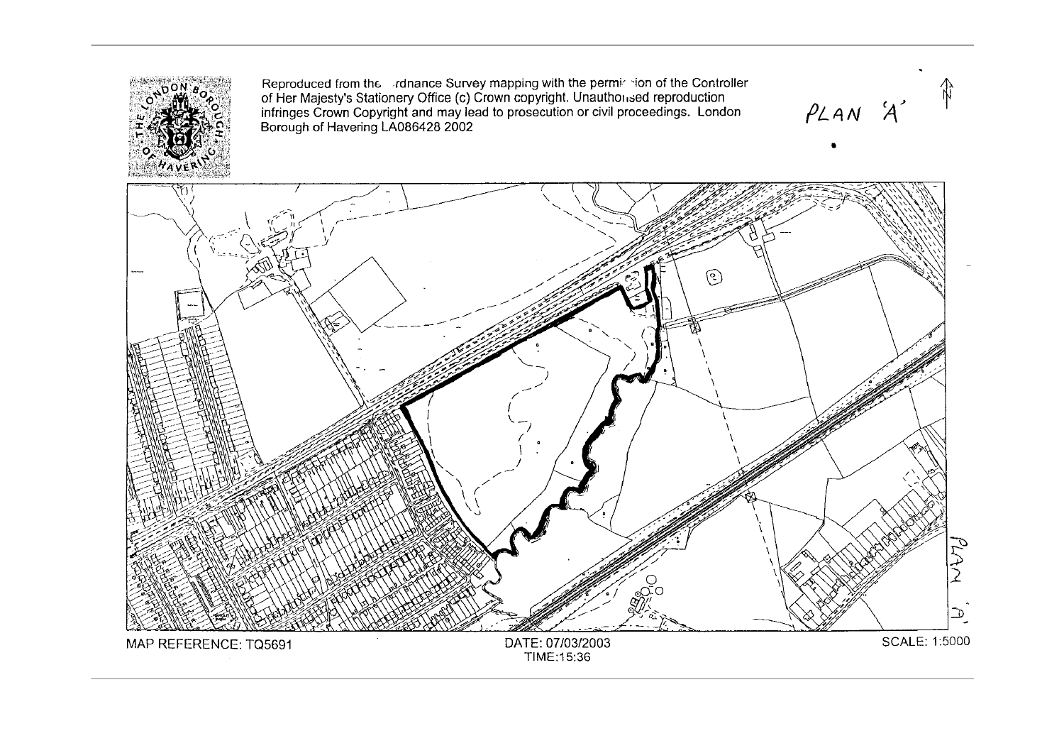![](_page_14_Picture_0.jpeg)

Reproduced from the rdnance Survey mapping with the perminition of the Controller of Her Majesty's Stationery Office (c) Crown copyright. Unauthonsed reproduction infringes Crown Copyright and may lead to prosecution or civil proceedings. Borough of Havering LA086428 2002

 $P_{A}$ 

•

![](_page_14_Figure_3.jpeg)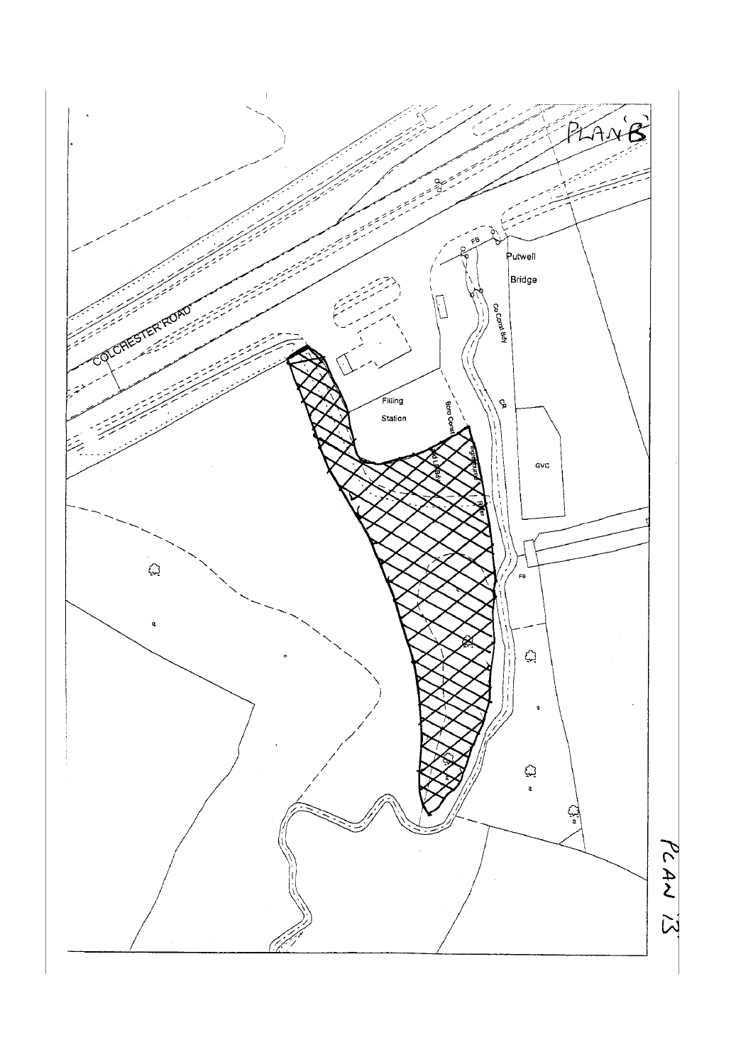![](_page_15_Figure_0.jpeg)